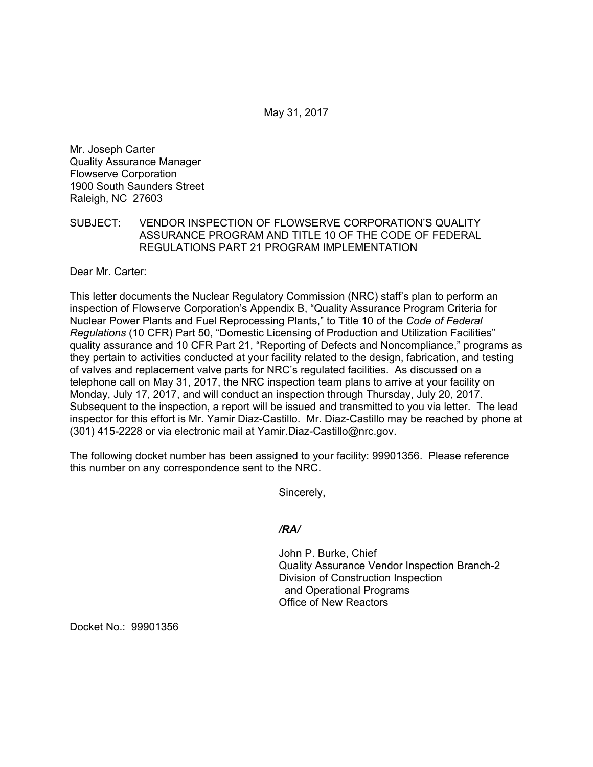May 31, 2017

Mr. Joseph Carter Quality Assurance Manager Flowserve Corporation 1900 South Saunders Street Raleigh, NC 27603

## SUBJECT: VENDOR INSPECTION OF FLOWSERVE CORPORATION'S QUALITY ASSURANCE PROGRAM AND TITLE 10 OF THE CODE OF FEDERAL REGULATIONS PART 21 PROGRAM IMPLEMENTATION

Dear Mr. Carter:

This letter documents the Nuclear Regulatory Commission (NRC) staff's plan to perform an inspection of Flowserve Corporation's Appendix B, "Quality Assurance Program Criteria for Nuclear Power Plants and Fuel Reprocessing Plants," to Title 10 of the *Code of Federal Regulations* (10 CFR) Part 50, "Domestic Licensing of Production and Utilization Facilities" quality assurance and 10 CFR Part 21, "Reporting of Defects and Noncompliance," programs as they pertain to activities conducted at your facility related to the design, fabrication, and testing of valves and replacement valve parts for NRC's regulated facilities. As discussed on a telephone call on May 31, 2017, the NRC inspection team plans to arrive at your facility on Monday, July 17, 2017, and will conduct an inspection through Thursday, July 20, 2017. Subsequent to the inspection, a report will be issued and transmitted to you via letter. The lead inspector for this effort is Mr. Yamir Diaz-Castillo. Mr. Diaz-Castillo may be reached by phone at (301) 415-2228 or via electronic mail at Yamir.Diaz-Castillo@nrc.gov.

The following docket number has been assigned to your facility: 99901356. Please reference this number on any correspondence sent to the NRC.

Sincerely,

## */RA/*

John P. Burke, Chief Quality Assurance Vendor Inspection Branch-2 Division of Construction Inspection and Operational Programs Office of New Reactors

Docket No.: 99901356